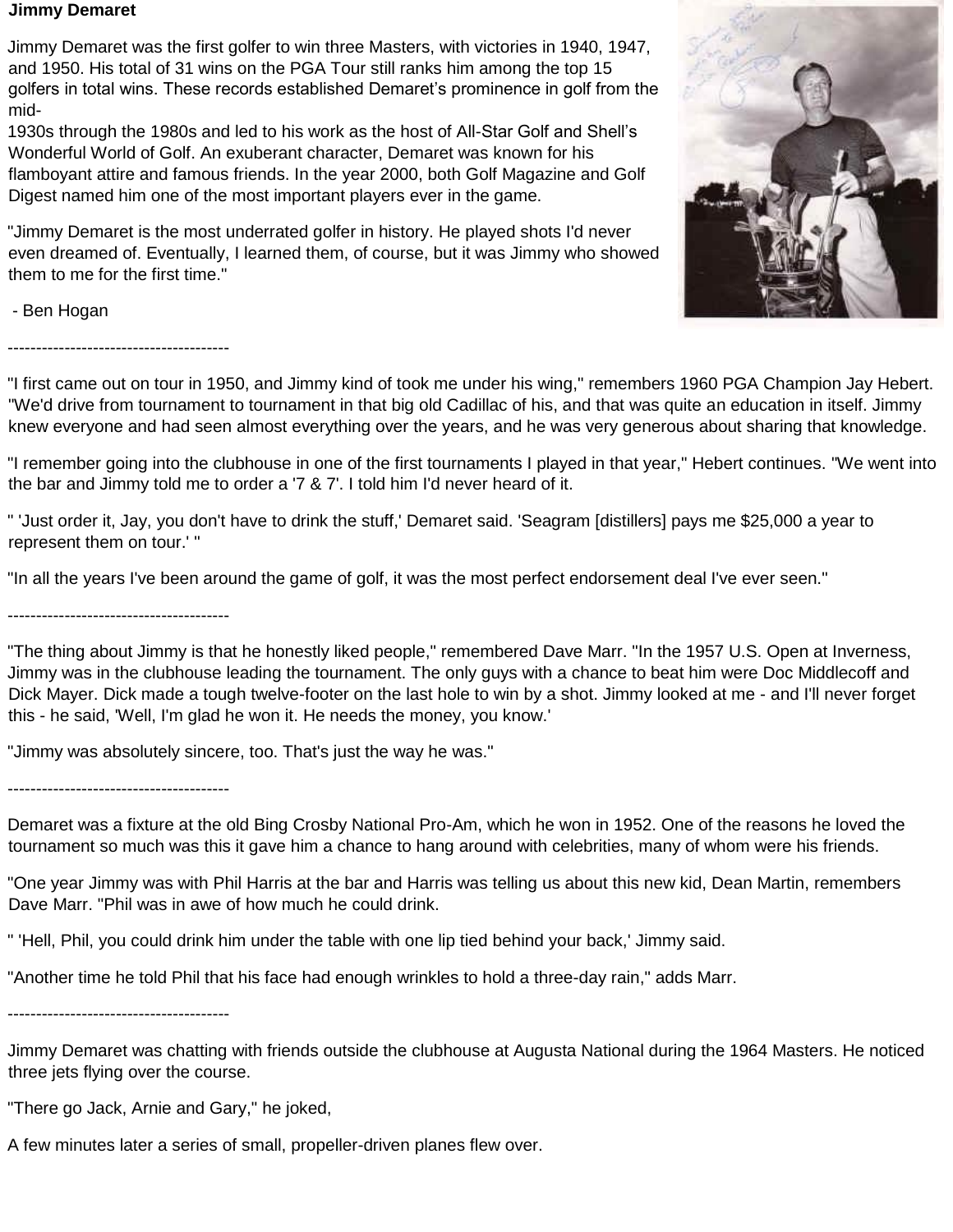## **Jimmy Demaret**

Jimmy Demaret was the first golfer to win three Masters, with victories in 1940, 1947, and 1950. His total of 31 wins on the PGA Tour still ranks him among the top 15 golfers in total wins. These records established Demaret's prominence in golf from the mid-

1930s through the 1980s and led to his work as the host of All-Star Golf and Shell's Wonderful World of Golf. An exuberant character, Demaret was known for his flamboyant attire and famous friends. In the year 2000, both Golf Magazine and Golf Digest named him one of the most important players ever in the game.

"Jimmy Demaret is the most underrated golfer in history. He played shots I'd never even dreamed of. Eventually, I learned them, of course, but it was Jimmy who showed them to me for the first time."



- Ben Hogan

---------------------------------------

"I first came out on tour in 1950, and Jimmy kind of took me under his wing," remembers 1960 PGA Champion Jay Hebert. "We'd drive from tournament to tournament in that big old Cadillac of his, and that was quite an education in itself. Jimmy knew everyone and had seen almost everything over the years, and he was very generous about sharing that knowledge.

"I remember going into the clubhouse in one of the first tournaments I played in that year," Hebert continues. "We went into the bar and Jimmy told me to order a '7 & 7'. I told him I'd never heard of it.

" 'Just order it, Jay, you don't have to drink the stuff,' Demaret said. 'Seagram [distillers] pays me \$25,000 a year to represent them on tour.' "

"In all the years I've been around the game of golf, it was the most perfect endorsement deal I've ever seen."

---------------------------------------

"The thing about Jimmy is that he honestly liked people," remembered Dave Marr. "In the 1957 U.S. Open at Inverness, Jimmy was in the clubhouse leading the tournament. The only guys with a chance to beat him were Doc Middlecoff and Dick Mayer. Dick made a tough twelve-footer on the last hole to win by a shot. Jimmy looked at me - and I'll never forget this - he said, 'Well, I'm glad he won it. He needs the money, you know.'

"Jimmy was absolutely sincere, too. That's just the way he was."

---------------------------------------

Demaret was a fixture at the old Bing Crosby National Pro-Am, which he won in 1952. One of the reasons he loved the tournament so much was this it gave him a chance to hang around with celebrities, many of whom were his friends.

"One year Jimmy was with Phil Harris at the bar and Harris was telling us about this new kid, Dean Martin, remembers Dave Marr. "Phil was in awe of how much he could drink.

" 'Hell, Phil, you could drink him under the table with one lip tied behind your back,' Jimmy said.

"Another time he told Phil that his face had enough wrinkles to hold a three-day rain," adds Marr.

---------------------------------------

Jimmy Demaret was chatting with friends outside the clubhouse at Augusta National during the 1964 Masters. He noticed three jets flying over the course.

"There go Jack, Arnie and Gary," he joked,

A few minutes later a series of small, propeller-driven planes flew over.